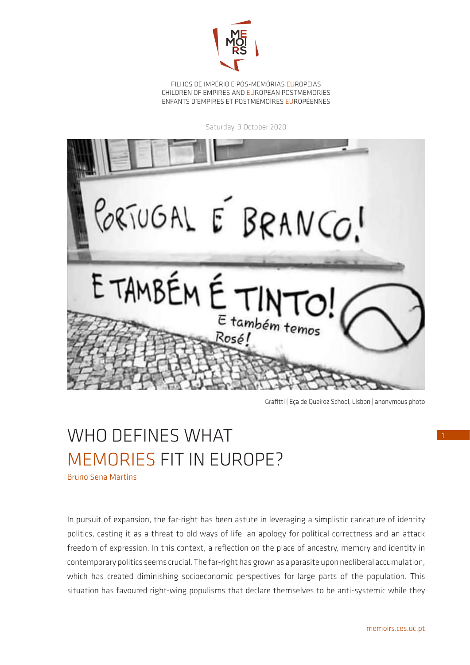

FILHOS DE IMPÉRIO E PÓS-MEMÓRIAS EUROPEIAS CHILDREN OF EMPIRES AND EUROPEAN POSTMEMORIES ENFANTS D'EMPIRES ET POSTMÉMOIRES EUROPÉENNES

Saturday, 3 October 2020



Grafitti | Eça de Queiroz School, Lisbon | anonymous photo

## WHO DEFINES WHAT MEMORIES FIT IN EUROPE?

Bruno Sena Martins

In pursuit of expansion, the far-right has been astute in leveraging a simplistic caricature of identity politics, casting it as a threat to old ways of life, an apology for political correctness and an attack freedom of expression. In this context, a reflection on the place of ancestry, memory and identity in contemporary politics seems crucial. The far-right has grown as a parasite upon neoliberal accumulation, which has created diminishing socioeconomic perspectives for large parts of the population. This situation has favoured right-wing populisms that declare themselves to be anti-systemic while they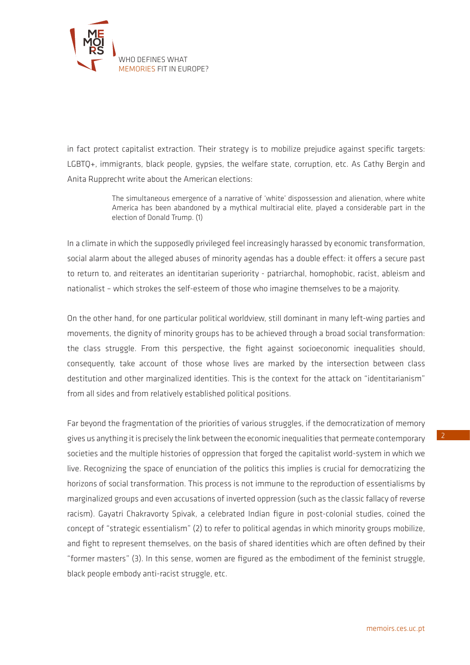

in fact protect capitalist extraction. Their strategy is to mobilize prejudice against specific targets: LGBTQ+, immigrants, black people, gypsies, the welfare state, corruption, etc. As Cathy Bergin and Anita Rupprecht write about the American elections:

> The simultaneous emergence of a narrative of 'white' dispossession and alienation, where white America has been abandoned by a mythical multiracial elite, played a considerable part in the election of Donald Trump. (1)

In a climate in which the supposedly privileged feel increasingly harassed by economic transformation, social alarm about the alleged abuses of minority agendas has a double effect: it offers a secure past to return to, and reiterates an identitarian superiority - patriarchal, homophobic, racist, ableism and nationalist – which strokes the self-esteem of those who imagine themselves to be a majority.

On the other hand, for one particular political worldview, still dominant in many left-wing parties and movements, the dignity of minority groups has to be achieved through a broad social transformation: the class struggle. From this perspective, the fight against socioeconomic inequalities should, consequently, take account of those whose lives are marked by the intersection between class destitution and other marginalized identities. This is the context for the attack on "identitarianism" from all sides and from relatively established political positions.

Far beyond the fragmentation of the priorities of various struggles, if the democratization of memory gives us anything it is precisely the link between the economic inequalities that permeate contemporary societies and the multiple histories of oppression that forged the capitalist world-system in which we live. Recognizing the space of enunciation of the politics this implies is crucial for democratizing the horizons of social transformation. This process is not immune to the reproduction of essentialisms by marginalized groups and even accusations of inverted oppression (such as the classic fallacy of reverse racism). Gayatri Chakravorty Spivak, a celebrated Indian figure in post-colonial studies, coined the concept of "strategic essentialism" (2) to refer to political agendas in which minority groups mobilize, and fight to represent themselves, on the basis of shared identities which are often defined by their "former masters" (3). In this sense, women are figured as the embodiment of the feminist struggle, black people embody anti-racist struggle, etc.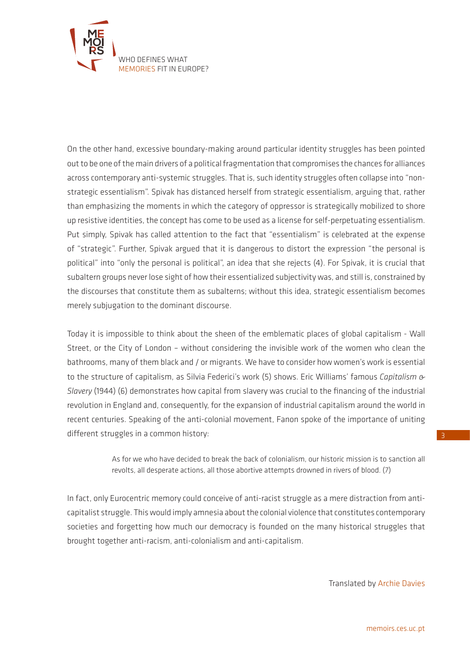

On the other hand, excessive boundary-making around particular identity struggles has been pointed out to be one of the main drivers of a political fragmentation that compromises the chances for alliances across contemporary anti-systemic struggles. That is, such identity struggles often collapse into "nonstrategic essentialism". Spivak has distanced herself from strategic essentialism, arguing that, rather than emphasizing the moments in which the category of oppressor is strategically mobilized to shore up resistive identities, the concept has come to be used as a license for self-perpetuating essentialism. Put simply, Spivak has called attention to the fact that "essentialism" is celebrated at the expense of "strategic". Further, Spivak argued that it is dangerous to distort the expression "the personal is political" into "only the personal is political", an idea that she rejects (4). For Spivak, it is crucial that subaltern groups never lose sight of how their essentialized subjectivity was, and still is, constrained by the discourses that constitute them as subalterns; without this idea, strategic essentialism becomes merely subjugation to the dominant discourse.

Today it is impossible to think about the sheen of the emblematic places of global capitalism - Wall Street, or the City of London – without considering the invisible work of the women who clean the bathrooms, many of them black and / or migrants. We have to consider how women's work is essential to the structure of capitalism, as Silvia Federici's work (5) shows. Eric Williams' famous *Capitalism & Slavery* (1944) (6) demonstrates how capital from slavery was crucial to the financing of the industrial revolution in England and, consequently, for the expansion of industrial capitalism around the world in recent centuries. Speaking of the anti-colonial movement, Fanon spoke of the importance of uniting different struggles in a common history:

> As for we who have decided to break the back of colonialism, our historic mission is to sanction all revolts, all desperate actions, all those abortive attempts drowned in rivers of blood. (7)

In fact, only Eurocentric memory could conceive of anti-racist struggle as a mere distraction from anticapitalist struggle. This would imply amnesia about the colonial violence that constitutes contemporary societies and forgetting how much our democracy is founded on the many historical struggles that brought together anti-racism, anti-colonialism and anti-capitalism.

Translated by Archie Davies